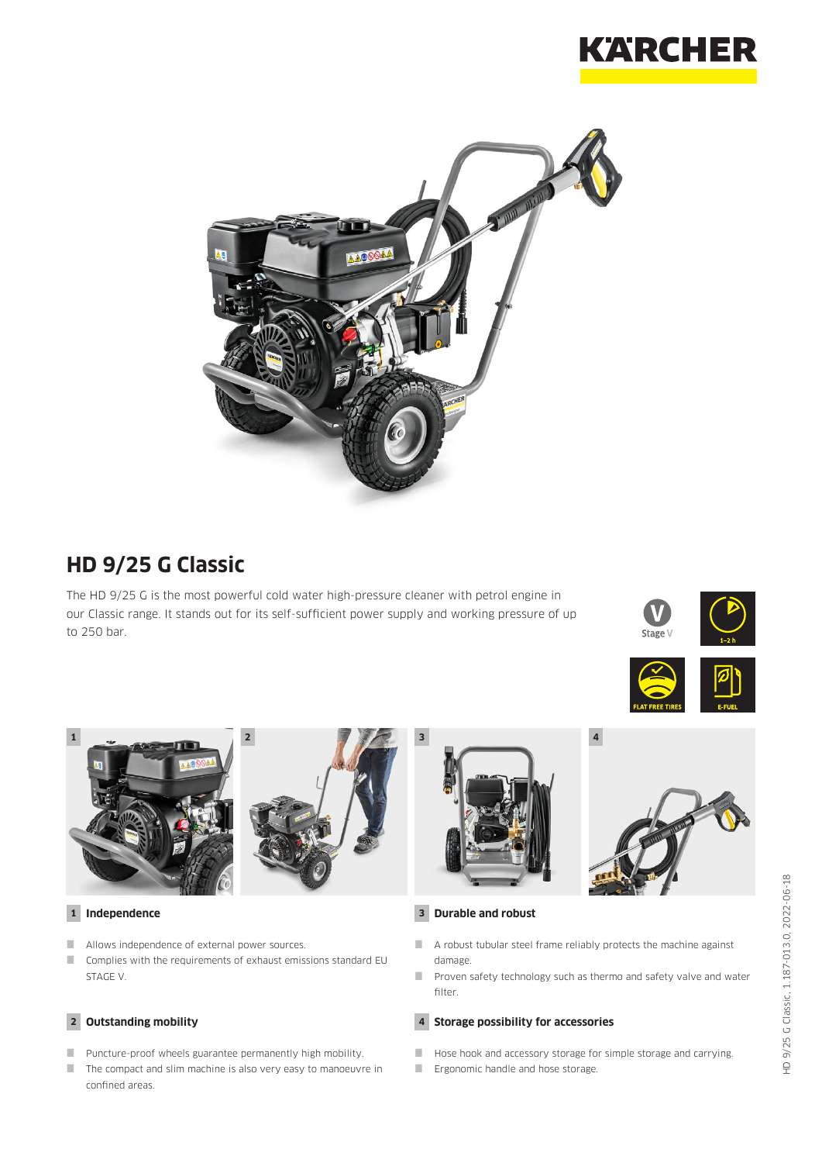



# **HD 9/25 G Classic**

The HD 9/25 G is the most powerful cold water high-pressure cleaner with petrol engine in our Classic range. It stands out for its self-sufficient power supply and working pressure of up to 250 bar.









### **1 Independence**

- Allows independence of external power sources.
- Complies with the requirements of exhaust emissions standard EU STAGE V.

### **2 Outstanding mobility**

- **Puncture-proof wheels guarantee permanently high mobility.**
- The compact and slim machine is also very easy to manoeuvre in confined areas.



#### **3 Durable and robust**

- A robust tubular steel frame reliably protects the machine against damage.
- **Proven safety technology such as thermo and safety valve and water** filter.

### **4 Storage possibility for accessories**

- Hose hook and accessory storage for simple storage and carrying.
- **Example 2** Ergonomic handle and hose storage.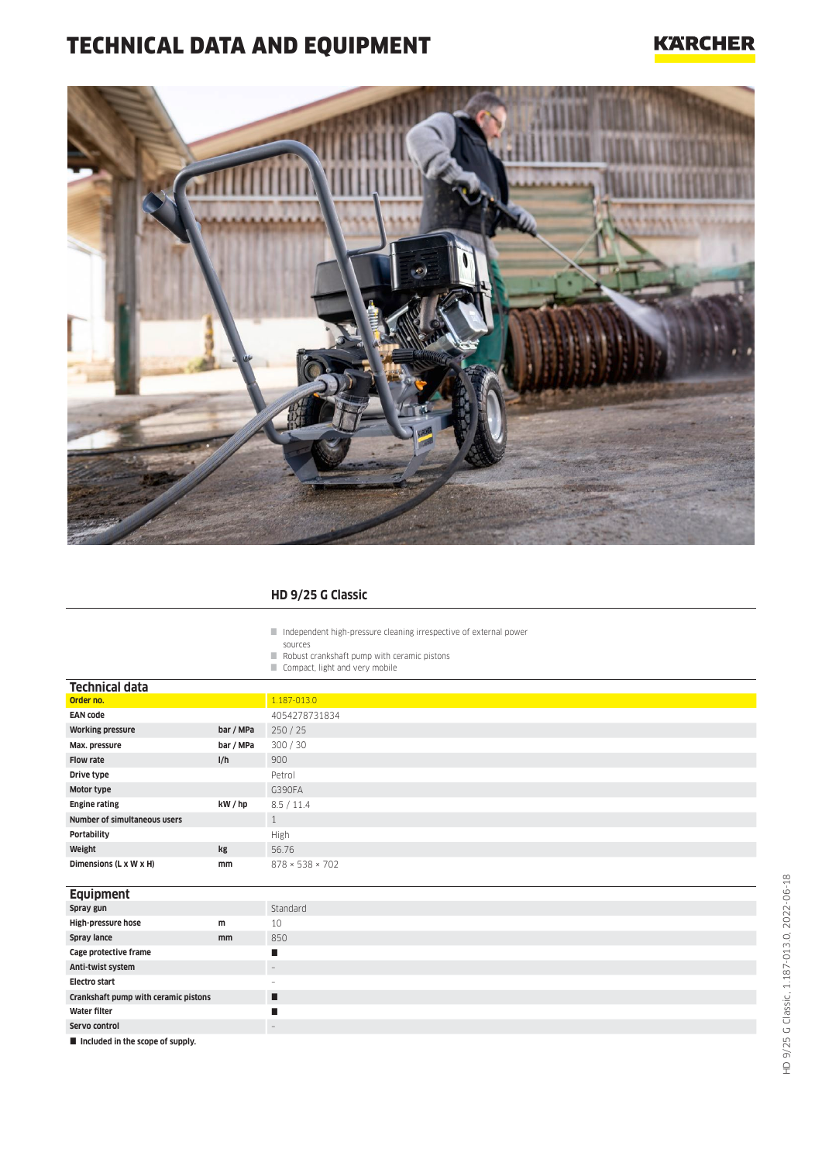# TECHNICAL DATA AND EQUIPMENT

## **KARCHER**



### **HD 9/25 G Classic**

Independent high-pressure cleaning irrespective of external power

- sources Robust crankshaft pump with ceramic pistons
- Compact, light and very mobile

| <b>Technical data</b>                |           |                             |
|--------------------------------------|-----------|-----------------------------|
| Order no.                            |           | 1.187-013.0                 |
| <b>EAN code</b>                      |           | 4054278731834               |
| <b>Working pressure</b>              | bar / MPa | 250/25                      |
| Max. pressure                        | bar / MPa | 300 / 30                    |
| <b>Flow rate</b>                     | I/h       | 900                         |
| Drive type                           |           | Petrol                      |
| Motor type                           |           | G390FA                      |
| <b>Engine rating</b>                 | kW / hp   | 8.5 / 11.4                  |
| Number of simultaneous users         |           | $\mathbf{1}$                |
| Portability                          |           | High                        |
| Weight                               | kg        | 56.76                       |
| Dimensions (L x W x H)               | mm        | $878 \times 538 \times 702$ |
|                                      |           |                             |
| Equipment                            |           |                             |
| Spray gun                            |           | Standard                    |
| High-pressure hose                   | m         | 10                          |
| Spray lance                          | mm        | 850                         |
| Cage protective frame                |           | П                           |
| Anti-twist system                    |           | $\overline{\phantom{a}}$    |
| <b>Electro start</b>                 |           | $\overline{\phantom{a}}$    |
| Crankshaft pump with ceramic pistons |           | п                           |
| <b>Water filter</b>                  |           | П                           |
| Servo control                        |           | $\overline{\phantom{a}}$    |
| Included in the scope of supply.     |           |                             |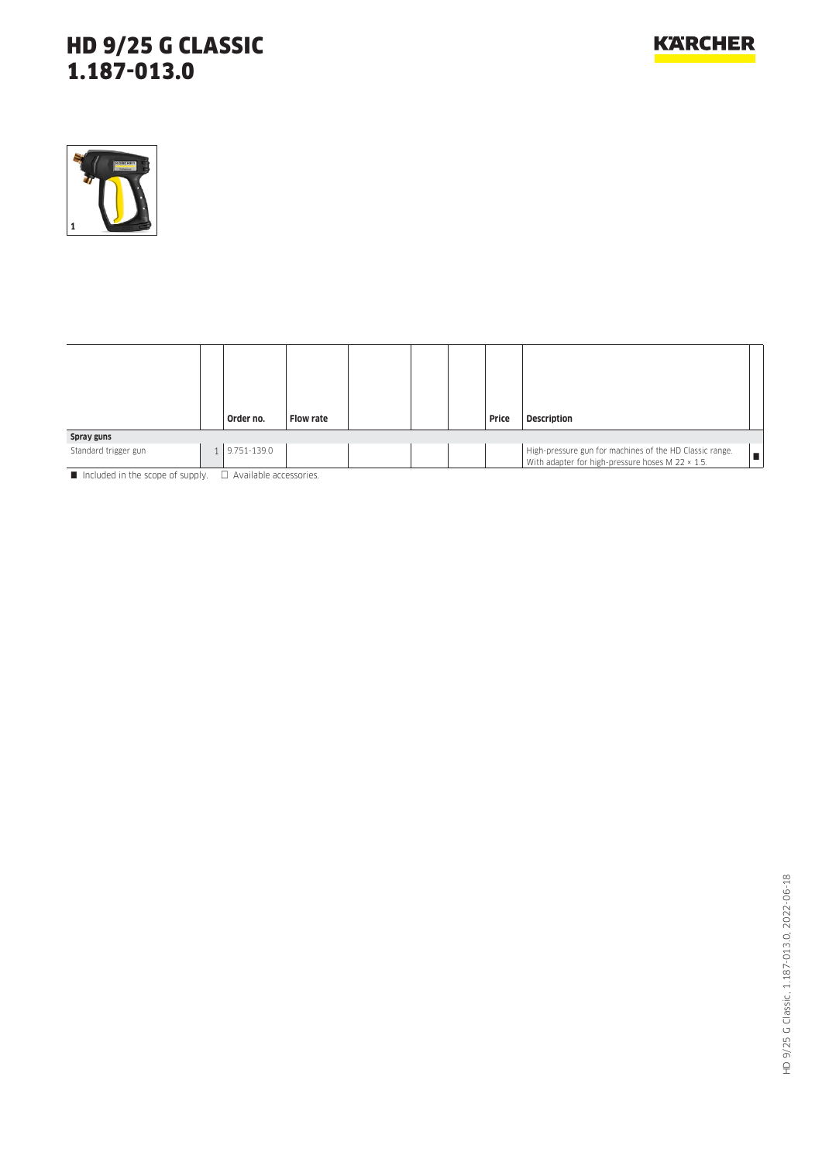# HD 9/25 G CLASSIC 1.187-013.0



|                      |  | Order no.       | <b>Flow rate</b> |  |  |  | Price | <b>Description</b>                                                                                          |  |
|----------------------|--|-----------------|------------------|--|--|--|-------|-------------------------------------------------------------------------------------------------------------|--|
| Spray guns           |  |                 |                  |  |  |  |       |                                                                                                             |  |
| Standard trigger gun |  | $1$ 9.751-139.0 |                  |  |  |  |       | High-pressure gun for machines of the HD Classic range.<br>With adapter for high-pressure hoses M 22 x 1.5. |  |

Included in the scope of supply.  $\Box$  Available accessories.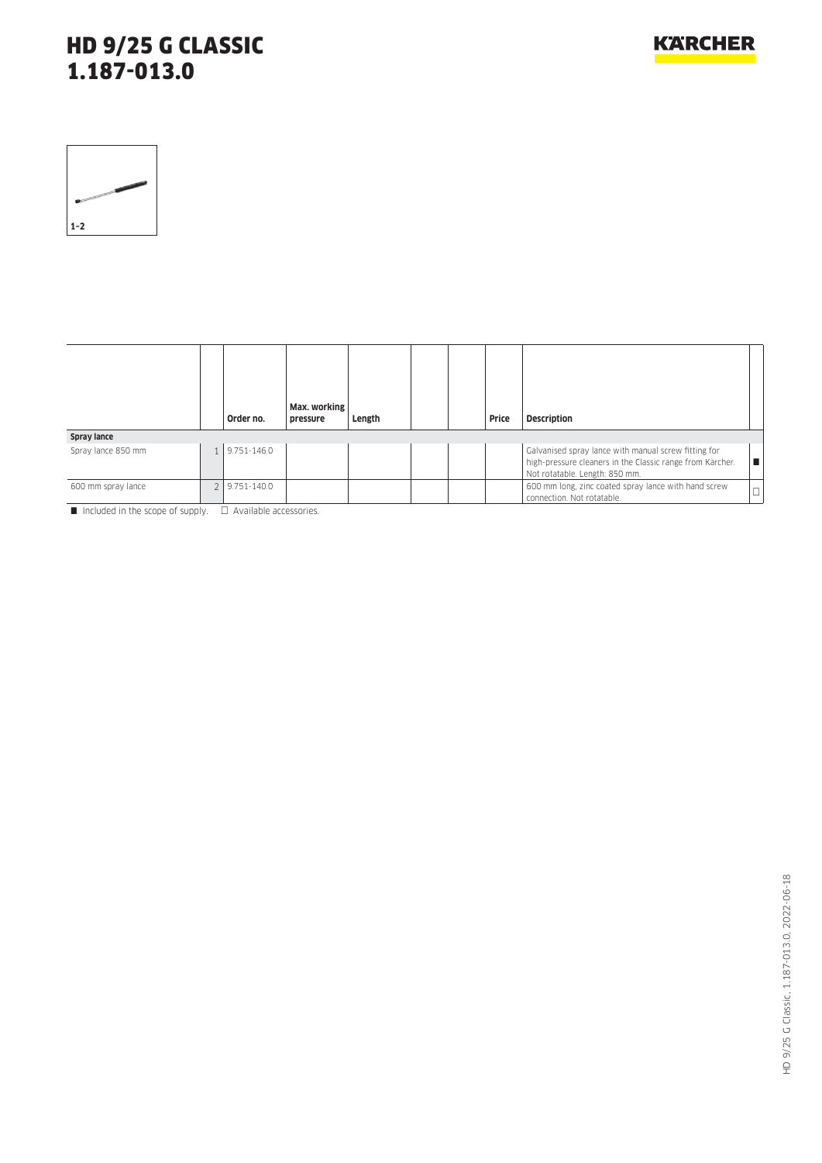# HD 9/25 G CLASSIC 1.187-013.0

| $1 - 2$ |  |
|---------|--|

|                    |  | Order no.       | Max. working<br>pressure | Length |  |  | Price | <b>Description</b>                                                                                                                                  |  |
|--------------------|--|-----------------|--------------------------|--------|--|--|-------|-----------------------------------------------------------------------------------------------------------------------------------------------------|--|
| Spray lance        |  |                 |                          |        |  |  |       |                                                                                                                                                     |  |
| Spray lance 850 mm |  | 1 9.751-146.0   |                          |        |  |  |       | Galvanised spray lance with manual screw fitting for<br>high-pressure cleaners in the Classic range from Kärcher.<br>Not rotatable. Length: 850 mm. |  |
| 600 mm spray lance |  | $9.751 - 140.0$ |                          |        |  |  |       | 600 mm long, zinc coated spray lance with hand screw<br>connection. Not rotatable.                                                                  |  |

 $\blacksquare$  Included in the scope of supply.  $\Box$  Available accessories.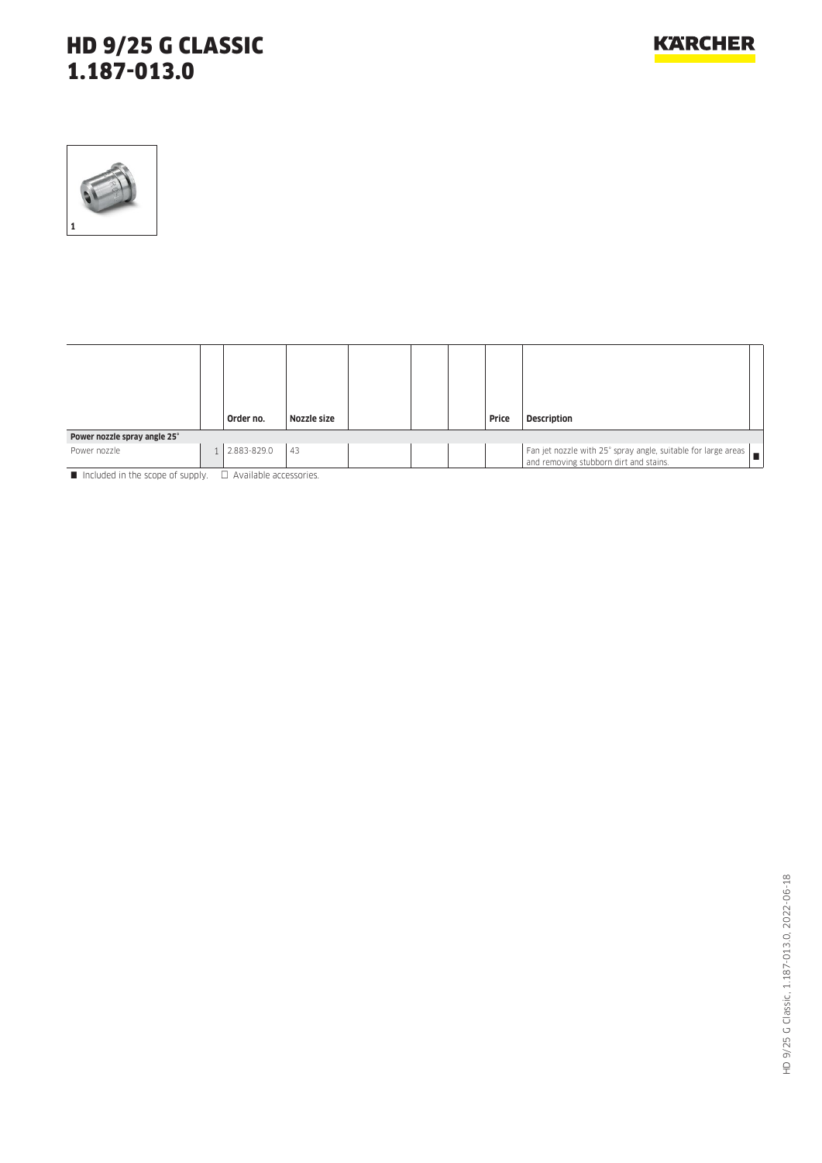# HD 9/25 G CLASSIC 1.187-013.0



|                                                                                                                       |   | Order no.   | Nozzle size |  |  |  | Price | <b>Description</b>                                                   |  |
|-----------------------------------------------------------------------------------------------------------------------|---|-------------|-------------|--|--|--|-------|----------------------------------------------------------------------|--|
| Power nozzle spray angle 25°                                                                                          |   |             |             |  |  |  |       |                                                                      |  |
| Power nozzle                                                                                                          | 1 | 2.883-829.0 | 43          |  |  |  |       | Fan jet nozzle with 25° spray angle, suitable for large areas $\Box$ |  |
| <b>Manufacturers</b> of the algorithm and contract of contract of the Contract Contract of Contract of Contract of Co |   |             |             |  |  |  |       |                                                                      |  |

Included in the scope of supply.  $\Box$  Available accessories.